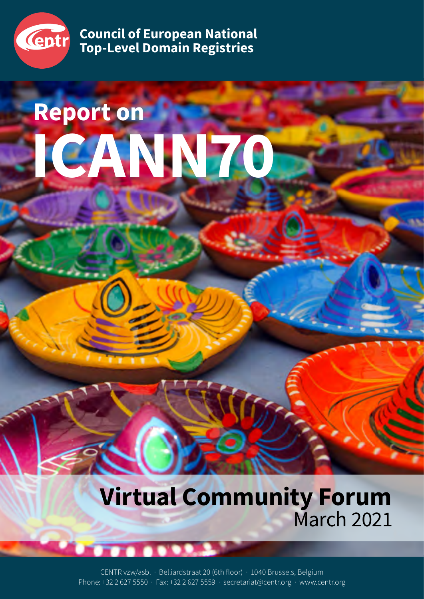

**Council of European National Top-Level Domain Registries**

# **Report on ICANN70**

**Virtual Community Forum** March 2021

CENTR vzw/asbl · Belliardstraat 20 (6th floor) · 1040 Brussels, Belgium Phone: +32 2 627 5550 · Fax: +32 2 627 5559 · secretariat@centr.org · www.centr.org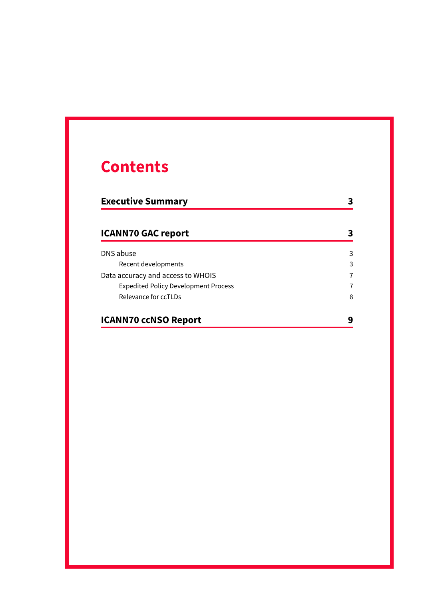## **Contents**

| <b>Executive Summary</b>                    |   |
|---------------------------------------------|---|
| <b>ICANN70 GAC report</b>                   |   |
| DNS abuse                                   | 3 |
| Recent developments                         | 3 |
| Data accuracy and access to WHOIS           | 7 |
| <b>Expedited Policy Development Process</b> | 7 |
| Relevance for ccTLDs                        | 8 |
| <b>ICANN70 ccNSO Report</b>                 | q |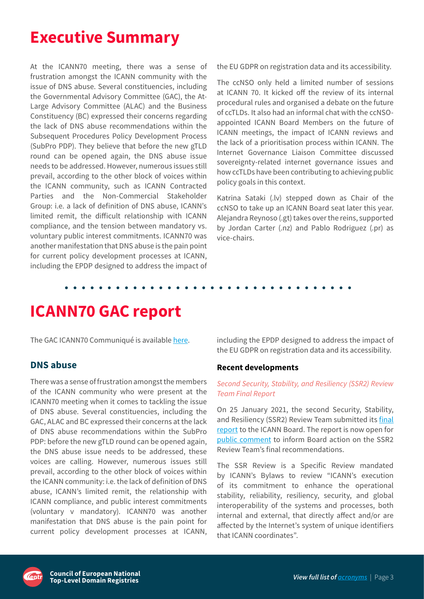## <span id="page-2-0"></span>**Executive Summary**

At the ICANN70 meeting, there was a sense of frustration amongst the ICANN community with the issue of DNS abuse. Several constituencies, including the Governmental Advisory Committee (GAC), the At-Large Advisory Committee (ALAC) and the Business Constituency (BC) expressed their concerns regarding the lack of DNS abuse recommendations within the Subsequent Procedures Policy Development Process (SubPro PDP). They believe that before the new gTLD round can be opened again, the DNS abuse issue needs to be addressed. However, numerous issues still prevail, according to the other block of voices within the ICANN community, such as ICANN Contracted Parties and the Non-Commercial Stakeholder Group: i.e. a lack of definition of DNS abuse, ICANN's limited remit, the difficult relationship with ICANN compliance, and the tension between mandatory vs. voluntary public interest commitments. ICANN70 was another manifestation that DNS abuse is the pain point for current policy development processes at ICANN, including the EPDP designed to address the impact of

the EU GDPR on registration data and its accessibility.

The ccNSO only held a limited number of sessions at ICANN 70. It kicked off the review of its internal procedural rules and organised a debate on the future of ccTLDs. It also had an informal chat with the ccNSOappointed ICANN Board Members on the future of ICANN meetings, the impact of ICANN reviews and the lack of a prioritisation process within ICANN. The Internet Governance Liaison Committee discussed sovereignty-related internet governance issues and how ccTLDs have been contributing to achieving public policy goals in this context.

Katrina Sataki (.lv) stepped down as Chair of the ccNSO to take up an ICANN Board seat later this year. Alejandra Reynoso (.gt) takes over the reins, supported by Jordan Carter (.nz) and Pablo Rodriguez (.pr) as vice-chairs.

## **ICANN70 GAC report**

The GAC ICANN70 Communiqué is available [here.](https://gac.icann.org/contentMigrated/icann70-gac-communiqu)

#### **DNS abuse**

There was a sense of frustration amongst the members of the ICANN community who were present at the ICANN70 meeting when it comes to tackling the issue of DNS abuse. Several constituencies, including the GAC, ALAC and BC expressed their concerns at the lack of DNS abuse recommendations within the SubPro PDP: before the new gTLD round can be opened again, the DNS abuse issue needs to be addressed, these voices are calling. However, numerous issues still prevail, according to the other block of voices within the ICANN community: i.e. the lack of definition of DNS abuse, ICANN's limited remit, the relationship with ICANN compliance, and public interest commitments (voluntary v mandatory). ICANN70 was another manifestation that DNS abuse is the pain point for current policy development processes at ICANN,

including the EPDP designed to address the impact of the EU GDPR on registration data and its accessibility.

#### **Recent developments**

#### *Second Security, Stability, and Resiliency (SSR2) Review Team Final Report*

On 25 January 2021, the second Security, Stability, and Resiliency (SSR2) Review Team submitted its [final](https://www.icann.org/en/system/files/files/ssr2-review-team-final-report-25jan21-en.pdf)  [report](https://www.icann.org/en/system/files/files/ssr2-review-team-final-report-25jan21-en.pdf) to the ICANN Board. The report is now open for [public comment](https://www.icann.org/public-comments/ssr2-final-report-2021-01-28-en) to inform Board action on the SSR2 Review Team's final recommendations.

The SSR Review is a Specific Review mandated by ICANN's Bylaws to review "ICANN's execution of its commitment to enhance the operational stability, reliability, resiliency, security, and global interoperability of the systems and processes, both internal and external, that directly affect and/or are affected by the Internet's system of unique identifiers that ICANN coordinates".

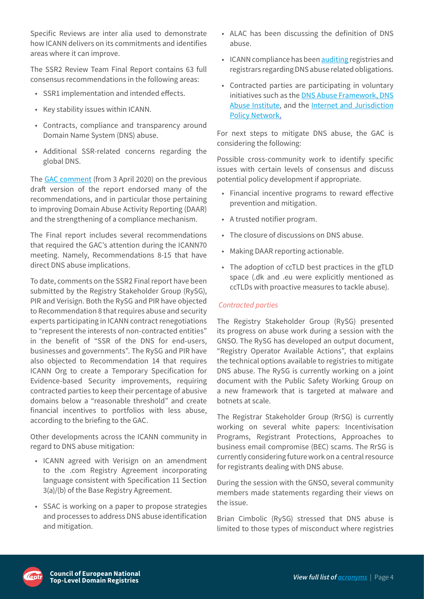Specific Reviews are inter alia used to demonstrate how ICANN delivers on its commitments and identifies areas where it can improve.

The SSR2 Review Team Final Report contains 63 full consensus recommendations in the following areas:

- SSR1 implementation and intended effects.
- Key stability issues within ICANN.
- Contracts, compliance and transparency around Domain Name System (DNS) abuse.
- Additional SSR-related concerns regarding the global DNS.

The [GAC comment](https://gac.icann.org/file-asset/public/gac-comment-ssr2-rt-draft-report-3apr20.pdf) (from 3 April 2020) on the previous draft version of the report endorsed many of the recommendations, and in particular those pertaining to improving Domain Abuse Activity Reporting (DAAR) and the strengthening of a compliance mechanism.

The Final report includes several recommendations that required the GAC's attention during the ICANN70 meeting. Namely, Recommendations 8-15 that have direct DNS abuse implications.

To date, comments on the SSR2 Final report have been submitted by the Registry Stakeholder Group (RySG), PIR and Verisign. Both the RySG and PIR have objected to Recommendation 8 that requires abuse and security experts participating in ICANN contract renegotiations to "represent the interests of non-contracted entities" in the benefit of "SSR of the DNS for end-users, businesses and governments". The RySG and PIR have also objected to Recommendation 14 that requires ICANN Org to create a Temporary Specification for Evidence-based Security improvements, requiring contracted parties to keep their percentage of abusive domains below a "reasonable threshold" and create financial incentives to portfolios with less abuse, according to the briefing to the GAC.

Other developments across the ICANN community in regard to DNS abuse mitigation:

- ICANN agreed with Verisign on an amendment to the .com Registry Agreement incorporating language consistent with Specification 11 Section 3(a)/(b) of the Base Registry Agreement.
- SSAC is working on a paper to propose strategies and processes to address DNS abuse identification and mitigation.
- ALAC has been discussing the definition of DNS abuse.
- ICANN compliance has been [auditing](https://www.icann.org/en/system/files/files/contractual-compliance-registry-operator-audit-report-17sep19-en.pdf) registries and registrars regarding DNS abuse related obligations.
- Contracted parties are participating in voluntary initiatives such as the [DNS Abuse Framework](https://dnsabuseframework.org/), [DNS](https://dnsabuseinstitute.org/)  [Abuse Institute,](https://dnsabuseinstitute.org/) and the [Internet and Jurisdiction](https://www.internetjurisdiction.net/domains/toolkit)  [Policy Network.](https://www.internetjurisdiction.net/domains/toolkit)

For next steps to mitigate DNS abuse, the GAC is considering the following:

Possible cross-community work to identify specific issues with certain levels of consensus and discuss potential policy development if appropriate.

- Financial incentive programs to reward effective prevention and mitigation.
- A trusted notifier program.
- The closure of discussions on DNS abuse.
- Making DAAR reporting actionable.
- The adoption of ccTLD best practices in the gTLD space (.dk and .eu were explicitly mentioned as ccTLDs with proactive measures to tackle abuse).

#### *Contracted parties*

The Registry Stakeholder Group (RySG) presented its progress on abuse work during a session with the GNSO. The RySG has developed an output document, "Registry Operator Available Actions", that explains the technical options available to registries to mitigate DNS abuse. The RySG is currently working on a joint document with the Public Safety Working Group on a new framework that is targeted at malware and botnets at scale.

The Registrar Stakeholder Group (RrSG) is currently working on several white papers: Incentivisation Programs, Registrant Protections, Approaches to business email compromise (BEC) scams. The RrSG is currently considering future work on a central resource for registrants dealing with DNS abuse.

During the session with the GNSO, several community members made statements regarding their views on the issue.

Brian Cimbolic (RySG) stressed that DNS abuse is limited to those types of misconduct where registries

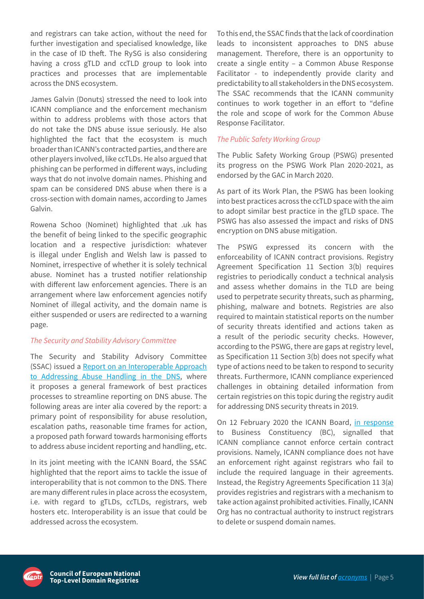and registrars can take action, without the need for further investigation and specialised knowledge, like in the case of ID theft. The RySG is also considering having a cross gTLD and ccTLD group to look into practices and processes that are implementable across the DNS ecosystem.

James Galvin (Donuts) stressed the need to look into ICANN compliance and the enforcement mechanism within to address problems with those actors that do not take the DNS abuse issue seriously. He also highlighted the fact that the ecosystem is much broader than ICANN's contracted parties, and there are other players involved, like ccTLDs. He also argued that phishing can be performed in different ways, including ways that do not involve domain names. Phishing and spam can be considered DNS abuse when there is a cross-section with domain names, according to James Galvin.

Rowena Schoo (Nominet) highlighted that .uk has the benefit of being linked to the specific geographic location and a respective jurisdiction: whatever is illegal under English and Welsh law is passed to Nominet, irrespective of whether it is solely technical abuse. Nominet has a trusted notifier relationship with different law enforcement agencies. There is an arrangement where law enforcement agencies notify Nominet of illegal activity, and the domain name is either suspended or users are redirected to a warning page.

#### *The Security and Stability Advisory Committee*

The Security and Stability Advisory Committee (SSAC) issued a [Report on an Interoperable Approach](https://www.icann.org/en/system/files/files/sac-115-en.pdf)  [to Addressing Abuse Handling in the DNS](https://www.icann.org/en/system/files/files/sac-115-en.pdf), where it proposes a general framework of best practices processes to streamline reporting on DNS abuse. The following areas are inter alia covered by the report: a primary point of responsibility for abuse resolution, escalation paths, reasonable time frames for action, a proposed path forward towards harmonising efforts to address abuse incident reporting and handling, etc.

In its joint meeting with the ICANN Board, the SSAC highlighted that the report aims to tackle the issue of interoperability that is not common to the DNS. There are many different rules in place across the ecosystem, i.e. with regard to gTLDs, ccTLDs, registrars, web hosters etc. Interoperability is an issue that could be addressed across the ecosystem.

To this end, the SSAC finds that the lack of coordination leads to inconsistent approaches to DNS abuse management. Therefore, there is an opportunity to create a single entity – a Common Abuse Response Facilitator - to independently provide clarity and predictability to all stakeholders in the DNS ecosystem. The SSAC recommends that the ICANN community continues to work together in an effort to "define the role and scope of work for the Common Abuse Response Facilitator.

#### *The Public Safety Working Group*

The Public Safety Working Group (PSWG) presented its progress on the PSWG Work Plan 2020-2021, as endorsed by the GAC in March 2020.

As part of its Work Plan, the PSWG has been looking into best practices across the ccTLD space with the aim to adopt similar best practice in the gTLD space. The PSWG has also assessed the impact and risks of DNS encryption on DNS abuse mitigation.

The PSWG expressed its concern with the enforceability of ICANN contract provisions. Registry Agreement Specification 11 Section 3(b) requires registries to periodically conduct a technical analysis and assess whether domains in the TLD are being used to perpetrate security threats, such as pharming, phishing, malware and botnets. Registries are also required to maintain statistical reports on the number of security threats identified and actions taken as a result of the periodic security checks. However, according to the PSWG, there are gaps at registry level, as Specification 11 Section 3(b) does not specify what type of actions need to be taken to respond to security threats. Furthermore, ICANN compliance experienced challenges in obtaining detailed information from certain registries on this topic during the registry audit for addressing DNS security threats in 2019.

On 12 February 2020 the ICANN Board, [in response](https://www.icann.org/en/system/files/correspondence/botterman-to-selli-12feb20-en.pdf) to Business Constituency (BC), signalled that ICANN compliance cannot enforce certain contract provisions. Namely, ICANN compliance does not have an enforcement right against registrars who fail to include the required language in their agreements. Instead, the Registry Agreements Specification 11 3(a) provides registries and registrars with a mechanism to take action against prohibited activities. Finally, ICANN Org has no contractual authority to instruct registrars to delete or suspend domain names.

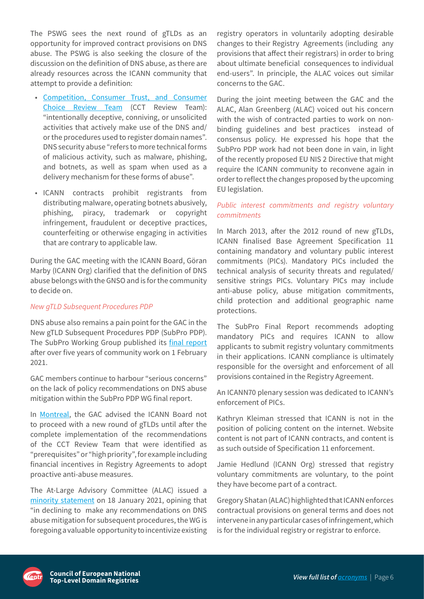The PSWG sees the next round of gTLDs as an opportunity for improved contract provisions on DNS abuse. The PSWG is also seeking the closure of the discussion on the definition of DNS abuse, as there are already resources across the ICANN community that attempt to provide a definition:

- [Competition, Consumer Trust, and Consumer](https://www.icann.org/en/system/files/files/cct-final-08sep18-en.pdf)  [Choice Review Team](https://www.icann.org/en/system/files/files/cct-final-08sep18-en.pdf) (CCT Review Team): "intentionally deceptive, conniving, or unsolicited activities that actively make use of the DNS and/ or the procedures used to register domain names". DNS security abuse "refers to more technical forms of malicious activity, such as malware, phishing, and botnets, as well as spam when used as a delivery mechanism for these forms of abuse".
- ICANN contracts prohibit registrants from distributing malware, operating botnets abusively, phishing, piracy, trademark or copyright infringement, fraudulent or deceptive practices, counterfeiting or otherwise engaging in activities that are contrary to applicable law.

During the GAC meeting with the ICANN Board, Göran Marby (ICANN Org) clarified that the definition of DNS abuse belongs with the GNSO and is for the community to decide on.

#### *New gTLD Subsequent Procedures PDP*

DNS abuse also remains a pain point for the GAC in the New gTLD Subsequent Procedures PDP (SubPro PDP). The SubPro Working Group published its [final report](https://gnso.icann.org/sites/default/files/file/field-file-attach/final-report-newgtld-subsequent-procedures-pdp-02feb21-en.pdf) after over five years of community work on 1 February 2021.

GAC members continue to harbour "serious concerns" on the lack of policy recommendations on DNS abuse mitigation within the SubPro PDP WG final report.

In [Montreal](https://gac.icann.org/contentMigrated/icann66-montreal-communique), the GAC advised the ICANN Board not to proceed with a new round of gTLDs until after the complete implementation of the recommendations of the CCT Review Team that were identified as "prerequisites" or "high priority", for example including financial incentives in Registry Agreements to adopt proactive anti-abuse measures.

The At-Large Advisory Committee (ALAC) issued a [minority statement](https://community.icann.org/display/NGSPP/j.+Minority+Statements?preview=/155191129/155191370/AL-ALAC-ST-0121-01-00-EN.pdf) on 18 January 2021, opining that "in declining to make any recommendations on DNS abuse mitigation for subsequent procedures, the WG is foregoing a valuable opportunity to incentivize existing registry operators in voluntarily adopting desirable changes to their Registry Agreements (including any provisions that affect their registrars) in order to bring about ultimate beneficial consequences to individual end-users". In principle, the ALAC voices out similar concerns to the GAC.

During the joint meeting between the GAC and the ALAC, Alan Greenberg (ALAC) voiced out his concern with the wish of contracted parties to work on nonbinding guidelines and best practices instead of consensus policy. He expressed his hope that the SubPro PDP work had not been done in vain, in light of the recently proposed EU NIS 2 Directive that might require the ICANN community to reconvene again in order to reflect the changes proposed by the upcoming EU legislation.

#### *Public interest commitments and registry voluntary commitments*

In March 2013, after the 2012 round of new gTLDs, ICANN finalised Base Agreement Specification 11 containing mandatory and voluntary public interest commitments (PICs). Mandatory PICs included the technical analysis of security threats and regulated/ sensitive strings PICs. Voluntary PICs may include anti-abuse policy, abuse mitigation commitments, child protection and additional geographic name protections.

The SubPro Final Report recommends adopting mandatory PICs and requires ICANN to allow applicants to submit registry voluntary commitments in their applications. ICANN compliance is ultimately responsible for the oversight and enforcement of all provisions contained in the Registry Agreement.

An ICANN70 plenary session was dedicated to ICANN's enforcement of PICs.

Kathryn Kleiman stressed that ICANN is not in the position of policing content on the internet. Website content is not part of ICANN contracts, and content is as such outside of Specification 11 enforcement.

Jamie Hedlund (ICANN Org) stressed that registry voluntary commitments are voluntary, to the point they have become part of a contract.

Gregory Shatan (ALAC) highlighted that ICANN enforces contractual provisions on general terms and does not intervene in any particular cases of infringement, which is for the individual registry or registrar to enforce.

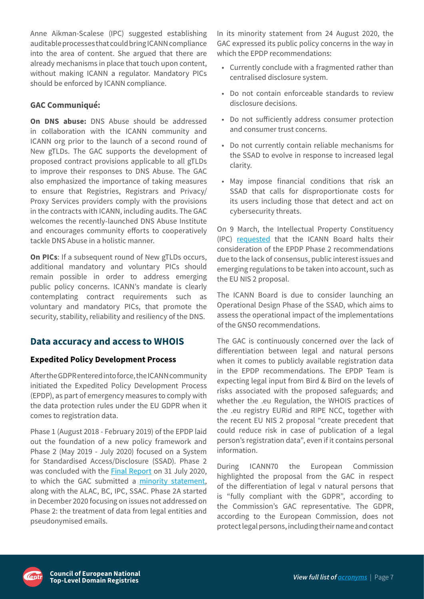<span id="page-6-0"></span>Anne Aikman-Scalese (IPC) suggested establishing auditable processes that could bring ICANN compliance into the area of content. She argued that there are already mechanisms in place that touch upon content, without making ICANN a regulator. Mandatory PICs should be enforced by ICANN compliance.

#### **GAC Communiqué:**

**On DNS abuse:** DNS Abuse should be addressed in collaboration with the ICANN community and ICANN org prior to the launch of a second round of New gTLDs. The GAC supports the development of proposed contract provisions applicable to all gTLDs to improve their responses to DNS Abuse. The GAC also emphasized the importance of taking measures to ensure that Registries, Registrars and Privacy/ Proxy Services providers comply with the provisions in the contracts with ICANN, including audits. The GAC welcomes the recently-launched DNS Abuse Institute and encourages community efforts to cooperatively tackle DNS Abuse in a holistic manner.

**On PICs**: If a subsequent round of New gTLDs occurs, additional mandatory and voluntary PICs should remain possible in order to address emerging public policy concerns. ICANN's mandate is clearly contemplating contract requirements such as voluntary and mandatory PICs, that promote the security, stability, reliability and resiliency of the DNS.

#### **Data accuracy and access to WHOIS**

#### **Expedited Policy Development Process**

After the GDPR entered into force, the ICANN community initiated the Expedited Policy Development Process (EPDP), as part of emergency measures to comply with the data protection rules under the EU GDPR when it comes to registration data.

Phase 1 (August 2018 - February 2019) of the EPDP laid out the foundation of a new policy framework and Phase 2 (May 2019 - July 2020) focused on a System for Standardised Access/Disclosure (SSAD). Phase 2 was concluded with the [Final Report](https://gnso.icann.org/sites/default/files/file/field-file-attach/epdp-phase-2-temp-spec-gtld-registration-data-2-31jul20-en.pdf) on 31 July 2020, to which the GAC submitted a [minority statement,](https://mm.icann.org/pipermail/gnso-epdp-team/attachments/20200824/aeeab8dd/gac-minority-statement-epdp-phase2-24aug20-0001.pdf) along with the ALAC, BC, IPC, SSAC. Phase 2A started in December 2020 focusing on issues not addressed on Phase 2: the treatment of data from legal entities and pseudonymised emails.

In its minority statement from 24 August 2020, the GAC expressed its public policy concerns in the way in which the EPDP recommendations:

- Currently conclude with a fragmented rather than centralised disclosure system.
- Do not contain enforceable standards to review disclosure decisions.
- Do not sufficiently address consumer protection and consumer trust concerns.
- Do not currently contain reliable mechanisms for the SSAD to evolve in response to increased legal clarity.
- May impose financial conditions that risk an SSAD that calls for disproportionate costs for its users including those that detect and act on cybersecurity threats.

On 9 March, the Intellectual Property Constituency (IPC) [requested](https://www.icann.org/en/system/files/correspondence/forrest-to-botterman-09mar21-en.pdf) that the ICANN Board halts their consideration of the EPDP Phase 2 recommendations due to the lack of consensus, public interest issues and emerging regulations to be taken into account, such as the EU NIS 2 proposal.

The ICANN Board is due to consider launching an Operational Design Phase of the SSAD, which aims to assess the operational impact of the implementations of the GNSO recommendations.

The GAC is continuously concerned over the lack of differentiation between legal and natural persons when it comes to publicly available registration data in the EPDP recommendations. The EPDP Team is expecting legal input from Bird & Bird on the levels of risks associated with the proposed safeguards; and whether the .eu Regulation, the WHOIS practices of the .eu registry EURid and RIPE NCC, together with the recent EU NIS 2 proposal "create precedent that could reduce risk in case of publication of a legal person's registration data", even if it contains personal information.

During ICANN70 the European Commission highlighted the proposal from the GAC in respect of the differentiation of legal v natural persons that is "fully compliant with the GDPR", according to the Commission's GAC representative. The GDPR, according to the European Commission, does not protect legal persons, including their name and contact

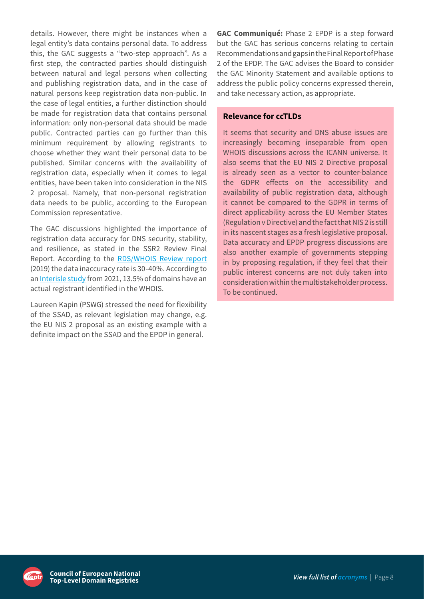<span id="page-7-0"></span>details. However, there might be instances when a legal entity's data contains personal data. To address this, the GAC suggests a "two-step approach". As a first step, the contracted parties should distinguish between natural and legal persons when collecting and publishing registration data, and in the case of natural persons keep registration data non-public. In the case of legal entities, a further distinction should be made for registration data that contains personal information: only non-personal data should be made public. Contracted parties can go further than this minimum requirement by allowing registrants to choose whether they want their personal data to be published. Similar concerns with the availability of registration data, especially when it comes to legal entities, have been taken into consideration in the NIS 2 proposal. Namely, that non-personal registration data needs to be public, according to the European Commission representative.

The GAC discussions highlighted the importance of registration data accuracy for DNS security, stability, and resilience, as stated in the SSR2 Review Final Report. According to the [RDS/WHOIS Review report](https://www.icann.org/zh/system/files/files/rds-whois2-review-03sep19-en.pdf) (2019) the data inaccuracy rate is 30-40%. According to an [Interisle study](http://www.interisle.net/ContactStudy2021.pdf) from 2021, 13.5% of domains have an actual registrant identified in the WHOIS.

Laureen Kapin (PSWG) stressed the need for flexibility of the SSAD, as relevant legislation may change, e.g. the EU NIS 2 proposal as an existing example with a definite impact on the SSAD and the EPDP in general.

**GAC Communiqué:** Phase 2 EPDP is a step forward but the GAC has serious concerns relating to certain Recommendations and gaps in the Final Report of Phase 2 of the EPDP. The GAC advises the Board to consider the GAC Minority Statement and available options to address the public policy concerns expressed therein, and take necessary action, as appropriate.

#### **Relevance for ccTLDs**

It seems that security and DNS abuse issues are increasingly becoming inseparable from open WHOIS discussions across the ICANN universe. It also seems that the EU NIS 2 Directive proposal is already seen as a vector to counter-balance the GDPR effects on the accessibility and availability of public registration data, although it cannot be compared to the GDPR in terms of direct applicability across the EU Member States (Regulation v Directive) and the fact that NIS 2 is still in its nascent stages as a fresh legislative proposal. Data accuracy and EPDP progress discussions are also another example of governments stepping in by proposing regulation, if they feel that their public interest concerns are not duly taken into consideration within the multistakeholder process. To be continued.

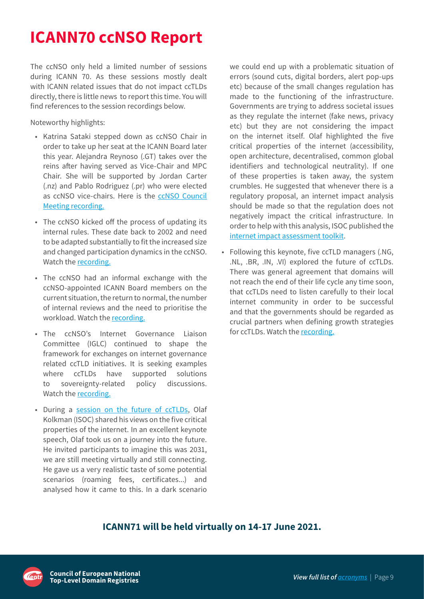## <span id="page-8-0"></span>**ICANN70 ccNSO Report**

The ccNSO only held a limited number of sessions during ICANN 70. As these sessions mostly dealt with ICANN related issues that do not impact ccTLDs directly, there is little news to report this time. You will find references to the session recordings below.

Noteworthy highlights:

- Katrina Sataki stepped down as ccNSO Chair in order to take up her seat at the ICANN Board later this year. Alejandra Reynoso (.GT) takes over the reins after having served as Vice-Chair and MPC Chair. She will be supported by Jordan Carter (.nz) and Pablo Rodriguez (.pr) who were elected as ccNSO vice-chairs. Here is the [ccNSO Council](https://icann.zoom.us/rec/share/OHay6aEs9NLP5r0bH1IgnJZuZPbFqAVA9xjrZ2oiq_cWTU0WHdHE7BhJel24tE0.wNlaLqz6amF6VEEj?startTime=1616693424000) [Meeting recording.](https://icann.zoom.us/rec/share/OHay6aEs9NLP5r0bH1IgnJZuZPbFqAVA9xjrZ2oiq_cWTU0WHdHE7BhJel24tE0.wNlaLqz6amF6VEEj?startTime=1616693424000)
- The ccNSO kicked off the process of updating its internal rules. These date back to 2002 and need to be adapted substantially to fit the increased size and changed participation dynamics in the ccNSO. Watch the [recording.](https://icann.zoom.us/rec/share/y-zRm0TIrAGWxn9sFkHsQugeddNx1NkXrJ2kn1LvaeAVklOzBKfhUleNUtuaWnir.wAtygqFUsPo5sb8r?startTime=1616513412000)
- The ccNSO had an informal exchange with the ccNSO-appointed ICANN Board members on the current situation, the return to normal, the number of internal reviews and the need to prioritise the workload. Watch the [recording](https://icann.zoom.us/rec/share/BbP86RclVHGq2-Kb3HhdeUTkTehDuYYzu1hh4atuKh7Pl1uw5Vvzav08r6NPZccp.uU0utKDbMHB0LwZF?startTime=1616535037000).
- The ccNSO's Internet Governance Liaison Committee (IGLC) continued to shape the framework for exchanges on internet governance related ccTLD initiatives. It is seeking examples where ccTLDs have supported solutions to sovereignty-related policy discussions. Watch the [recording.](https://icann.zoom.us/rec/share/yhuQxaPddXwe6I2rcztol0IJn9d63QPU66b8FynD_h1Bp-TMChbsdr4VNbjPD2QU.wuoIepBdU8I5kGYv?startTime=1616680824000)
- During a [session on the future of ccTLDs,](https://icann.zoom.us/rec/share/yLtogSf6E04cAiYt4Twk4LnvpR3Qvs_Is3hfPEpskBVCl7E0WW01GpTbfQSc1m40.W2PJpjcT7QINyUR9?startTime=1616621412000) Olaf Kolkman (ISOC) shared his views on the five critical properties of the internet. In an excellent keynote speech, Olaf took us on a journey into the future. He invited participants to imagine this was 2031, we are still meeting virtually and still connecting. He gave us a very realistic taste of some potential scenarios (roaming fees, certificates...) and analysed how it came to this. In a dark scenario

we could end up with a problematic situation of errors (sound cuts, digital borders, alert pop-ups etc) because of the small changes regulation has made to the functioning of the infrastructure. Governments are trying to address societal issues as they regulate the internet (fake news, privacy etc) but they are not considering the impact on the internet itself. Olaf highlighted the five critical properties of the internet (accessibility, open architecture, decentralised, common global identifiers and technological neutrality). If one of these properties is taken away, the system crumbles. He suggested that whenever there is a regulatory proposal, an internet impact analysis should be made so that the regulation does not negatively impact the critical infrastructure. In order to help with this analysis, ISOC published the [internet impact assessment toolkit.](https://www.internetsociety.org/issues/internet-way-of-networking/internet-impact-assessment-toolkit/)

• Following this keynote, five ccTLD managers (.NG, .NL, .BR, .IN, .VI) explored the future of ccTLDs. There was general agreement that domains will not reach the end of their life cycle any time soon, that ccTLDs need to listen carefully to their local internet community in order to be successful and that the governments should be regarded as crucial partners when defining growth strategies for ccTLDs. Watch the [recording.](https://icann.zoom.us/rec/share/yLtogSf6E04cAiYt4Twk4LnvpR3Qvs_Is3hfPEpskBVCl7E0WW01GpTbfQSc1m40.W2PJpjcT7QINyUR9?startTime=1616621412000)

### **ICANN71 will be held virtually on 14-17 June 2021.**